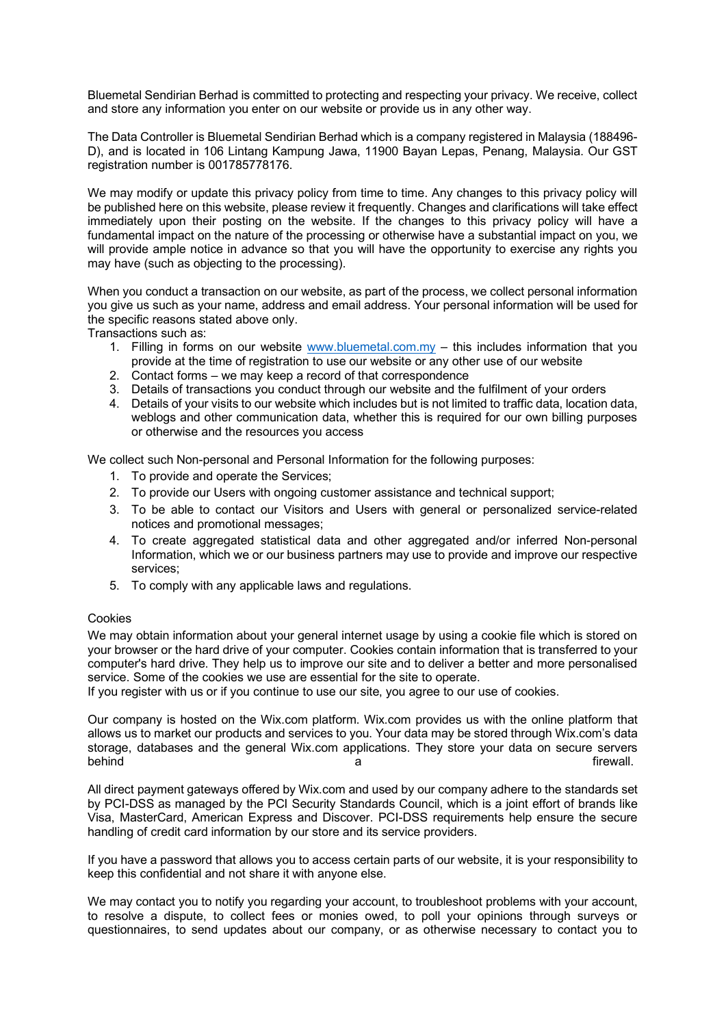Bluemetal Sendirian Berhad is committed to protecting and respecting your privacy. We receive, collect and store any information you enter on our website or provide us in any other way.

The Data Controller is Bluemetal Sendirian Berhad which is a company registered in Malaysia (188496- D), and is located in 106 Lintang Kampung Jawa, 11900 Bayan Lepas, Penang, Malaysia. Our GST registration number is 001785778176.

We may modify or update this privacy policy from time to time. Any changes to this privacy policy will be published here on this website, please review it frequently. Changes and clarifications will take effect immediately upon their posting on the website. If the changes to this privacy policy will have a fundamental impact on the nature of the processing or otherwise have a substantial impact on you, we will provide ample notice in advance so that you will have the opportunity to exercise any rights you may have (such as objecting to the processing).

When you conduct a transaction on our website, as part of the process, we collect personal information you give us such as your name, address and email address. Your personal information will be used for the specific reasons stated above only.

Transactions such as:

- 1. Filling in forms on our website www.bluemetal.com.my  $-$  this includes information that you provide at the time of registration to use our website or any other use of our website
- 2. Contact forms we may keep a record of that correspondence
- 3. Details of transactions you conduct through our website and the fulfilment of your orders
- 4. Details of your visits to our website which includes but is not limited to traffic data, location data, weblogs and other communication data, whether this is required for our own billing purposes or otherwise and the resources you access

We collect such Non-personal and Personal Information for the following purposes:

- 1. To provide and operate the Services;
- 2. To provide our Users with ongoing customer assistance and technical support;
- 3. To be able to contact our Visitors and Users with general or personalized service-related notices and promotional messages;
- 4. To create aggregated statistical data and other aggregated and/or inferred Non-personal Information, which we or our business partners may use to provide and improve our respective services;
- 5. To comply with any applicable laws and regulations.

## Cookies

We may obtain information about your general internet usage by using a cookie file which is stored on your browser or the hard drive of your computer. Cookies contain information that is transferred to your computer's hard drive. They help us to improve our site and to deliver a better and more personalised service. Some of the cookies we use are essential for the site to operate.

If you register with us or if you continue to use our site, you agree to our use of cookies.

Our company is hosted on the Wix.com platform. Wix.com provides us with the online platform that allows us to market our products and services to you. Your data may be stored through Wix.com's data storage, databases and the general Wix.com applications. They store your data on secure servers behind a firewall. The settlement of the settlement of the settlement of the settlement of the settlement of th

All direct payment gateways offered by Wix.com and used by our company adhere to the standards set by PCI-DSS as managed by the PCI Security Standards Council, which is a joint effort of brands like Visa, MasterCard, American Express and Discover. PCI-DSS requirements help ensure the secure handling of credit card information by our store and its service providers.

If you have a password that allows you to access certain parts of our website, it is your responsibility to keep this confidential and not share it with anyone else.

We may contact you to notify you regarding your account, to troubleshoot problems with your account, to resolve a dispute, to collect fees or monies owed, to poll your opinions through surveys or questionnaires, to send updates about our company, or as otherwise necessary to contact you to